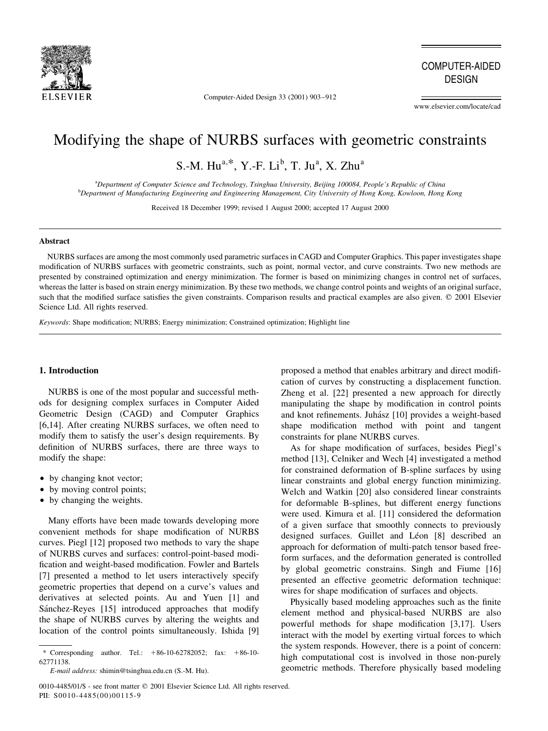

Computer-Aided Design 33 (2001) 903-912

**COMPUTER-AIDED DESIGN** 

www.elsevier.com/locate/cad

# Modifying the shape of NURBS surfaces with geometric constraints

S.-M. Hu<sup>a,\*</sup>, Y.-F. Li<sup>b</sup>, T. Ju<sup>a</sup>, X. Zhu<sup>a</sup>

<sup>a</sup>Department of Computer Science and Technology, Tsinghua University, Beijing 100084, People's Republic of China <sup>b</sup>Department of Manufacturing Engineering and Engineering Management, City University of Hong Kong, Kowloon, Hong Kong

Received 18 December 1999; revised 1 August 2000; accepted 17 August 2000

### **Abstract**

NURBS surfaces are among the most commonly used parametric surfaces in CAGD and Computer Graphics. This paper investigates shape modification of NURBS surfaces with geometric constraints, such as point, normal vector, and curve constraints. Two new methods are presented by constrained optimization and energy minimization. The former is based on minimizing changes in control net of surfaces, whereas the latter is based on strain energy minimization. By these two methods, we change control points and weights of an original surface, such that the modified surface satisfies the given constraints. Comparison results and practical examples are also given. © 2001 Elsevier Science Ltd. All rights reserved.

Keywords: Shape modification; NURBS; Energy minimization; Constrained optimization; Highlight line

## 1. Introduction

NURBS is one of the most popular and successful methods for designing complex surfaces in Computer Aided Geometric Design (CAGD) and Computer Graphics [6,14]. After creating NURBS surfaces, we often need to modify them to satisfy the user's design requirements. By definition of NURBS surfaces, there are three ways to modify the shape:

- by changing knot vector;
- by moving control points;
- by changing the weights.

Many efforts have been made towards developing more convenient methods for shape modification of NURBS curves. Piegl [12] proposed two methods to vary the shape of NURBS curves and surfaces: control-point-based modification and weight-based modification. Fowler and Bartels [7] presented a method to let users interactively specify geometric properties that depend on a curve's values and derivatives at selected points. Au and Yuen [1] and Sánchez-Reyes [15] introduced approaches that modify the shape of NURBS curves by altering the weights and location of the control points simultaneously. Ishida [9] proposed a method that enables arbitrary and direct modification of curves by constructing a displacement function. Zheng et al. [22] presented a new approach for directly manipulating the shape by modification in control points and knot refinements. Juhász [10] provides a weight-based shape modification method with point and tangent constraints for plane NURBS curves.

As for shape modification of surfaces, besides Piegl's method [13], Celniker and Wech [4] investigated a method for constrained deformation of B-spline surfaces by using linear constraints and global energy function minimizing. Welch and Watkin [20] also considered linear constraints for deformable B-splines, but different energy functions were used. Kimura et al. [11] considered the deformation of a given surface that smoothly connects to previously designed surfaces. Guillet and Léon [8] described an approach for deformation of multi-patch tensor based freeform surfaces, and the deformation generated is controlled by global geometric constrains. Singh and Fiume [16] presented an effective geometric deformation technique: wires for shape modification of surfaces and objects.

Physically based modeling approaches such as the finite element method and physical-based NURBS are also powerful methods for shape modification [3,17]. Users interact with the model by exerting virtual forces to which the system responds. However, there is a point of concern: high computational cost is involved in those non-purely geometric methods. Therefore physically based modeling

<sup>\*</sup> Corresponding author. Tel.:  $+86-10-62782052$ ; fax:  $+86-10-$ 62771138

E-mail address: shimin@tsinghua.edu.cn (S.-M. Hu).

<sup>0010-4485/01/\$ -</sup> see front matter © 2001 Elsevier Science Ltd. All rights reserved. PII: S0010-4485(00)00115-9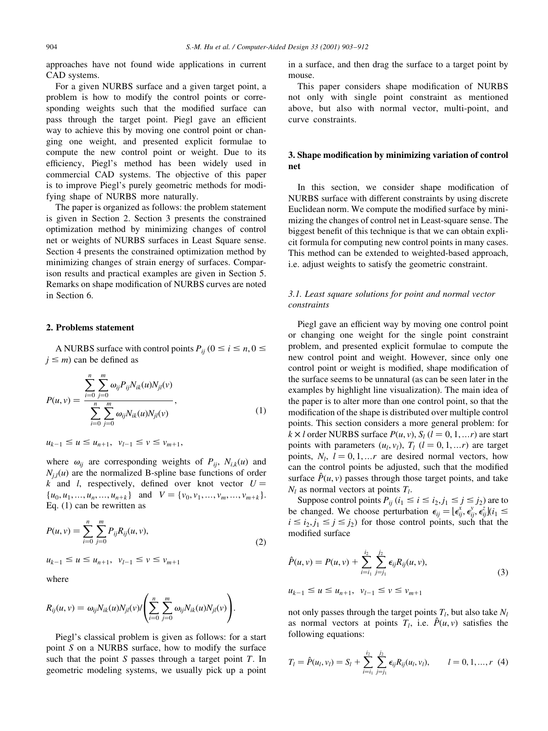approaches have not found wide applications in current CAD systems.

For a given NURBS surface and a given target point, a problem is how to modify the control points or corresponding weights such that the modified surface can pass through the target point. Piegl gave an efficient way to achieve this by moving one control point or changing one weight, and presented explicit formulae to compute the new control point or weight. Due to its efficiency, Piegl's method has been widely used in commercial CAD systems. The objective of this paper is to improve Piegl's purely geometric methods for modifying shape of NURBS more naturally.

The paper is organized as follows: the problem statement is given in Section 2. Section 3 presents the constrained optimization method by minimizing changes of control net or weights of NURBS surfaces in Least Square sense. Section 4 presents the constrained optimization method by minimizing changes of strain energy of surfaces. Comparison results and practical examples are given in Section 5. Remarks on shape modification of NURBS curves are noted in Section 6.

#### 2. Problems statement

A NURBS surface with control points  $P_{ij}$  ( $0 \le i \le n, 0 \le$  $j \leq m$ ) can be defined as

$$
P(u, v) = \frac{\sum_{i=0}^{n} \sum_{j=0}^{m} \omega_{ij} P_{ij} N_{ik}(u) N_{jl}(v)}{\sum_{i=0}^{n} \sum_{j=0}^{m} \omega_{ij} N_{ik}(u) N_{jl}(v)},
$$
\n(1)

$$
u_{k-1} \le u \le u_{n+1}, v_{l-1} \le v \le v_{m+1},
$$

where  $\omega_{ii}$  are corresponding weights of  $P_{ii}$ ,  $N_{i,k}(u)$  and  $N_{i,l}(u)$  are the normalized B-spline base functions of order k and l, respectively, defined over knot vector  $U =$  $\{u_0, u_1, \ldots, u_n, \ldots, u_{n+k}\}\$ and  $V = \{v_0, v_1, \ldots, v_m, \ldots, v_{m+k}\}.$ Eq.  $(1)$  can be rewritten as

$$
P(u, v) = \sum_{i=0}^{n} \sum_{j=0}^{m} P_{ij} R_{ij}(u, v),
$$
  

$$
u_{k-1} \le u \le u_{n+1}, \quad v_{l-1} \le v \le v_{m+1}
$$
 (2)

where

$$
R_{ij}(u,v) = \omega_{ij} N_{ik}(u) N_{jl}(v) / \left( \sum_{i=0}^{n} \sum_{j=0}^{m} \omega_{ij} N_{ik}(u) N_{jl}(v) \right).
$$

Piegl's classical problem is given as follows: for a start point  $S$  on a NURBS surface, how to modify the surface such that the point S passes through a target point  $T$ . In geometric modeling systems, we usually pick up a point in a surface, and then drag the surface to a target point by mouse.

This paper considers shape modification of NURBS not only with single point constraint as mentioned above, but also with normal vector, multi-point, and curve constraints.

# 3. Shape modification by minimizing variation of control net

In this section, we consider shape modification of NURBS surface with different constraints by using discrete Euclidean norm. We compute the modified surface by minimizing the changes of control net in Least-square sense. The biggest benefit of this technique is that we can obtain explicit formula for computing new control points in many cases. This method can be extended to weighted-based approach, i.e. adjust weights to satisfy the geometric constraint.

# 3.1. Least square solutions for point and normal vector constraints

Piegl gave an efficient way by moving one control point or changing one weight for the single point constraint problem, and presented explicit formulae to compute the new control point and weight. However, since only one control point or weight is modified, shape modification of the surface seems to be unnatural (as can be seen later in the examples by highlight line visualization). The main idea of the paper is to alter more than one control point, so that the modification of the shape is distributed over multiple control points. This section considers a more general problem: for  $k \times l$  order NURBS surface  $P(u, v)$ ,  $S_l$  ( $l = 0, 1, ... r$ ) are start points with parameters  $(u_l, v_l)$ ,  $T_l$   $(l = 0, 1, ... r)$  are target points,  $N_l$ ,  $l = 0, 1, ...r$  are desired normal vectors, how can the control points be adjusted, such that the modified surface  $\hat{P}(u, v)$  passes through those target points, and take  $N_l$  as normal vectors at points  $T_l$ .

Suppose control points  $P_{ij}$  ( $i_1 \le i \le i_2, j_1 \le j \le j_2$ ) are to be changed. We choose perturbation  $\epsilon_{ij} = [\epsilon_{ij}^x, \epsilon_{ij}^y, \epsilon_{ij}^z]$  $i \le i_2, j_1 \le j \le j_2$ ) for those control points, such that the modified surface

$$
\hat{P}(u, v) = P(u, v) + \sum_{i=i_1}^{i_2} \sum_{j=j_1}^{j_2} \epsilon_{ij} R_{ij}(u, v),
$$
\n
$$
u_{k-1} \le u \le u_{n+1}, \quad v_{l-1} \le v \le v_{m+1}
$$
\n(3)

not only passes through the target points  $T_l$ , but also take  $N_l$ as normal vectors at points  $T_l$ , i.e.  $\hat{P}(u, v)$  satisfies the following equations:

$$
T_l = \hat{P}(u_l, v_l) = S_l + \sum_{i=i_1}^{i_2} \sum_{j=j_1}^{j_2} \epsilon_{ij} R_{ij}(u_l, v_l), \qquad l = 0, 1, ..., r \tag{4}
$$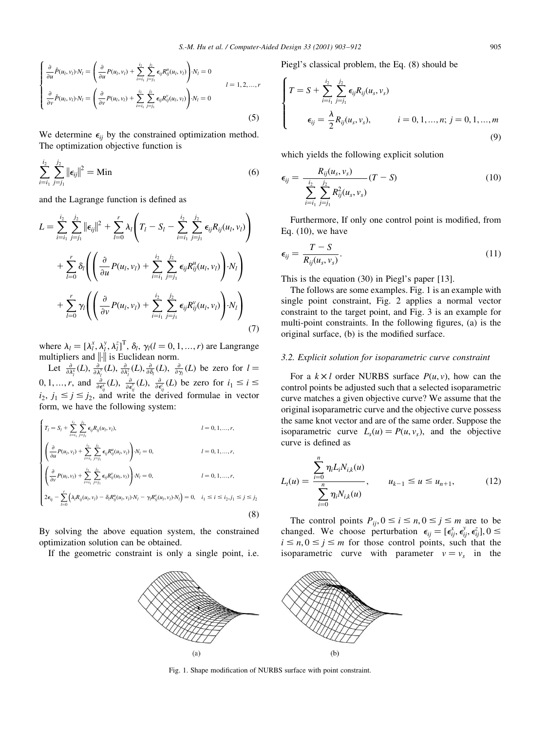$$
\begin{cases}\n\frac{\partial}{\partial u}\hat{P}(u_l, v_l) \cdot N_l = \left(\frac{\partial}{\partial u}P(u_l, v_l) + \sum_{i=i_1}^{i_2} \sum_{j=j_1}^{j_2} \epsilon_{ij}R_{ij}^u(u_l, v_l)\right) \cdot N_l = 0 \\
\frac{\partial}{\partial v}\hat{P}(u_l, v_l) \cdot N_l = \left(\frac{\partial}{\partial v}P(u_l, v_l) + \sum_{i=i_1}^{i_2} \sum_{j=j_1}^{j_2} \epsilon_{ij}R_{ij}^v(u_l, v_l)\right) \cdot N_l = 0\n\end{cases} \quad l = 1, 2, ..., r
$$
\n(5)

We determine  $\epsilon_{ii}$  by the constrained optimization method. The optimization objective function is

$$
\sum_{i=i_1}^{i_2} \sum_{j=j_1}^{j_2} ||\epsilon_{ij}||^2 = \text{Min}
$$
 (6)

and the Lagrange function is defined as

$$
L = \sum_{i=i_1}^{i_2} \sum_{j=j_1}^{j_2} ||\epsilon_{ij}||^2 + \sum_{l=0}^r \lambda_l \left( T_l - S_l - \sum_{i=i_1}^{i_2} \sum_{j=j_1}^{j_2} \epsilon_{ij} R_{ij}(u_l, v_l) \right)
$$
  
+ 
$$
\sum_{l=0}^r \delta_l \left( \left( \frac{\partial}{\partial u} P(u_l, v_l) + \sum_{i=i_1}^{i_2} \sum_{j=j_1}^{j_2} \epsilon_{ij} R_{ij}^u(u_l, v_l) \right) \cdot N_l \right)
$$
  
+ 
$$
\sum_{l=0}^r \gamma_l \left( \left( \frac{\partial}{\partial v} P(u_l, v_l) + \sum_{i=i_1}^{i_2} \sum_{j=j_1}^{j_2} \epsilon_{ij} R_{ij}^v(u_l, v_l) \right) \cdot N_l \right)
$$
(7)

where  $\lambda_l = [\lambda_l^x, \lambda_l^y, \lambda_l^z]^T$ ,  $\delta_l$ ,  $\gamma_l (l = 0, 1, ..., r)$  are Langrange multipliers and  $\|\cdot\|$  is Euclidean norm.

Let  $\frac{\partial}{\partial \lambda_i^{\alpha}}(L), \frac{\partial}{\partial \lambda_i^{\beta}}(L), \frac{\partial}{\partial \lambda_i^{\beta}}(L), \frac{\partial}{\partial \delta_i}(L), \frac{\partial}{\partial \gamma_i}(L)$  be zero for  $l =$  $0, 1, ..., r$ , and  $\frac{\partial}{\partial \epsilon_{ii}^x}(L), \frac{\partial}{\partial \epsilon_{ii}^x}(L), \frac{\partial}{\partial \epsilon_{ii}^x}(L)$  be zero for  $i_1 \le i \le$  $i_2, j_1 \leq j \leq j_2$ , and write the derived formulae in vector form, we have the following system:

$$
\begin{cases}\nT_l = S_l + \sum_{i=i_1}^{i_2} \sum_{j=j_1}^{j_2} \epsilon_{ij} R_{ij}(u_l, v_l), & l = 0, 1, ..., r, \\
\left(\frac{\partial}{\partial u} P(u_l, v_l) + \sum_{i=i_1}^{i_2} \sum_{j=j_1}^{j_2} \epsilon_{ij} R_{ij}^u(u_l, v_l)\right) \cdot N_l = 0, & l = 0, 1, ..., r, \\
\left(\frac{\partial}{\partial v} P(u_l, v_l) + \sum_{i=i_1}^{i_2} \sum_{j=j_1}^{j_2} \epsilon_{ij} R_{ij}^v(u_l, v_l)\right) \cdot N_l = 0, & l = 0, 1, ..., r, \\
2\epsilon_{ij} - \sum_{l=0}^{r} \left(\lambda_l R_{ij}(u_l, v_l) - \delta_l R_{ij}^u(u_l, v_l) \cdot N_l - \gamma_l R_{ij}^v(u_l, v_l) \cdot N_l\right) = 0, & i_1 \le i \le i_2, j_1 \le j \le j_2\n\end{cases}
$$
\n(8)

By solving the above equation system, the constrained optimization solution can be obtained.

If the geometric constraint is only a single point, i.e.

Piegl's classical problem, the Eq. (8) should be

$$
\begin{cases}\n T = S + \sum_{i=i_1}^{i_2} \sum_{j=j_1}^{j_2} \epsilon_{ij} R_{ij}(u_s, v_s) \\
 \epsilon_{ij} = \frac{\lambda}{2} R_{ij}(u_s, v_s), \qquad i = 0, 1, ..., n; j = 0, 1, ..., m\n \end{cases}
$$
\n(9)

which yields the following explicit solution

$$
\epsilon_{ij} = \frac{R_{ij}(u_s, v_s)}{\sum_{i=1}^{i_2} \sum_{j=j_1}^{j_2} R_{ij}^2(u_s, v_s)} (T - S)
$$
(10)

Furthermore, If only one control point is modified, from Eq.  $(10)$ , we have

$$
\epsilon_{ij} = \frac{T - S}{R_{ij}(u_s, v_s)}.\tag{11}
$$

This is the equation  $(30)$  in Piegl's paper [13].

The follows are some examples. Fig. 1 is an example with single point constraint, Fig. 2 applies a normal vector constraint to the target point, and Fig. 3 is an example for multi-point constraints. In the following figures, (a) is the original surface, (b) is the modified surface.

### 3.2. Explicit solution for isoparametric curve constraint

For a  $k \times l$  order NURBS surface  $P(u, v)$ , how can the control points be adjusted such that a selected isoparametric curve matches a given objective curve? We assume that the original isoparametric curve and the objective curve possess the same knot vector and are of the same order. Suppose the isoparametric curve  $L_s(u) = P(u, v_s)$ , and the objective curve is defined as

$$
L_{t}(u) = \frac{\sum_{i=0}^{n} \eta_{i} L_{i} N_{i,k}(u)}{\sum_{i=0}^{n} \eta_{i} N_{i,k}(u)}, \qquad u_{k-1} \le u \le u_{n+1}, \qquad (12)
$$

The control points  $P_{ij}$ ,  $0 \le i \le n$ ,  $0 \le j \le m$  are to be changed. We choose perturbation  $\epsilon_{ii} = [\epsilon_{ii}^x, \epsilon_{ii}^y, \epsilon_{ii}^z]$ ,  $0 \le$  $i \leq n, 0 \leq j \leq m$  for those control points, such that the isoparametric curve with parameter  $v = v_s$  in the



Fig. 1. Shape modification of NURBS surface with point constraint.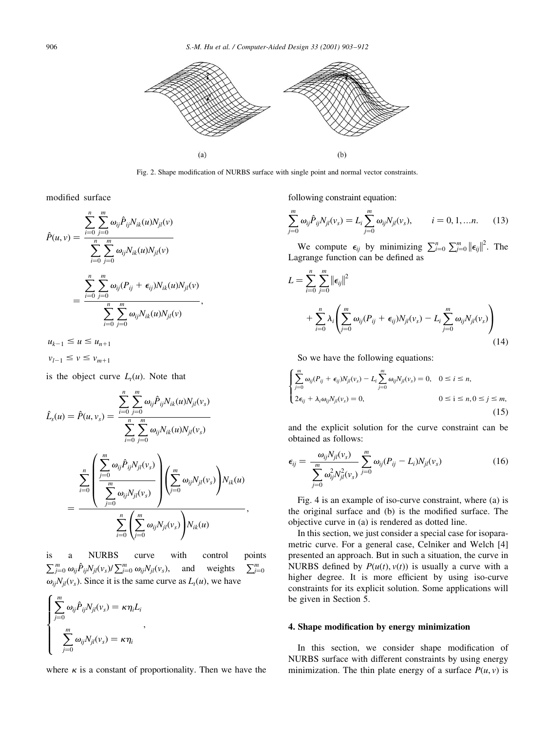

Fig. 2. Shape modification of NURBS surface with single point and normal vector constraints.

modified surface

$$
\hat{P}(u, v) = \frac{\sum_{i=0}^{n} \sum_{j=0}^{m} \omega_{ij} \hat{P}_{ij} N_{ik}(u) N_{jl}(v)}{\sum_{i=0}^{n} \sum_{j=0}^{m} \omega_{ij} N_{ik}(u) N_{jl}(v)}
$$

$$
= \frac{\sum_{i=0}^{n} \sum_{j=0}^{m} \omega_{ij} (P_{ij} + \epsilon_{ij}) N_{ik}(u) N_{jl}(v)}{\sum_{i=0}^{n} \sum_{j=0}^{m} \omega_{ij} N_{ik}(u) N_{jl}(v)},
$$

$$
u_{k-1} \le u \le u_{n+1}
$$

 $v_{l-1} \le v \le v_{m+1}$ 

is the object curve  $L_t(u)$ . Note that

$$
\hat{L}_s(u) = \hat{P}(u, v_s) = \frac{\sum_{i=0}^n \sum_{j=0}^m \omega_{ij} \hat{P}_{ij} N_{ik}(u) N_{jl}(v_s)}{\sum_{i=0}^n \sum_{j=0}^m \omega_{ij} N_{ik}(u) N_{jl}(v_s)}
$$
\n
$$
= \frac{\sum_{i=0}^n \left( \frac{\sum_{j=0}^m \omega_{ij} \hat{P}_{ij} N_{jl}(v_s)}{\sum_{j=0}^m \omega_{ij} N_{jl}(v_s)} \right) \left( \sum_{j=0}^m \omega_{ij} N_{jl}(v_s) \right) N_{ik}(u)}{\sum_{i=0}^n \left( \sum_{j=0}^m \omega_{ij} N_{jl}(v_s) \right) N_{ik}(u)},
$$

a **NURBS** curve with control points is  $\sum_{j=0}^m \omega_{ij} \hat{P}_{ij} N_{jl}(\nu_s) / \sum_{j=0}^m \omega_{ij} N_{jl}(\nu_s),$ and weights  $\sum_{i=0}^{m}$  $\omega_{ii}N_{il}(v_s)$ . Since it is the same curve as  $L_i(u)$ , we have

$$
\begin{cases}\n\sum_{j=0}^{m} \omega_{ij} \hat{P}_{ij} N_{jl}(v_s) = \kappa \eta_i L_i \\
\sum_{j=0}^{m} \omega_{ij} N_{jl}(v_s) = \kappa \eta_i\n\end{cases}
$$

where  $\kappa$  is a constant of proportionality. Then we have the

following constraint equation:

$$
\sum_{j=0}^{m} \omega_{ij} \hat{P}_{ij} N_{jl}(\nu_s) = L_i \sum_{j=0}^{m} \omega_{ij} N_{jl}(\nu_s), \qquad i = 0, 1, \dots n. \tag{13}
$$

We compute  $\epsilon_{ij}$  by minimizing  $\sum_{i=0}^{n} \sum_{j=0}^{m} ||\epsilon_{ij}||^2$ . The Lagrange function can be defined as

$$
L = \sum_{i=0}^{n} \sum_{j=0}^{m} ||\epsilon_{ij}||^{2}
$$
  
+ 
$$
\sum_{i=0}^{n} \lambda_{i} \left( \sum_{j=0}^{m} \omega_{ij} (P_{ij} + \epsilon_{ij}) N_{jl}(v_{s}) - L_{i} \sum_{j=0}^{m} \omega_{ij} N_{jl}(v_{s}) \right)
$$
(14)

So we have the following equations:

$$
\begin{cases} \sum_{j=0}^{m} \omega_{ij} (P_{ij} + \epsilon_{ij}) N_{jl}(v_s) - L_i \sum_{j=0}^{m} \omega_{ij} N_{jl}(v_s) = 0, & 0 \le i \le n, \\ 2\epsilon_{ij} + \lambda_i \omega_{ij} N_{jl}(v_s) = 0, & 0 \le i \le n, 0 \le j \le m, \end{cases}
$$
\n(15)

and the explicit solution for the curve constraint can be obtained as follows:

$$
\epsilon_{ij} = \frac{\omega_{ij} N_{jl}(\nu_s)}{\sum_{j=0}^{m} \omega_{ij}^2 N_{jl}^2(\nu_s)} \sum_{j=0}^{m} \omega_{ij} (P_{ij} - L_i) N_{jl}(\nu_s)
$$
(16)

Fig. 4 is an example of iso-curve constraint, where (a) is the original surface and (b) is the modified surface. The objective curve in (a) is rendered as dotted line.

In this section, we just consider a special case for isoparametric curve. For a general case, Celniker and Welch [4] presented an approach. But in such a situation, the curve in NURBS defined by  $P(u(t), v(t))$  is usually a curve with a higher degree. It is more efficient by using iso-curve constraints for its explicit solution. Some applications will be given in Section 5.

# 4. Shape modification by energy minimization

In this section, we consider shape modification of NURBS surface with different constraints by using energy minimization. The thin plate energy of a surface  $P(u, v)$  is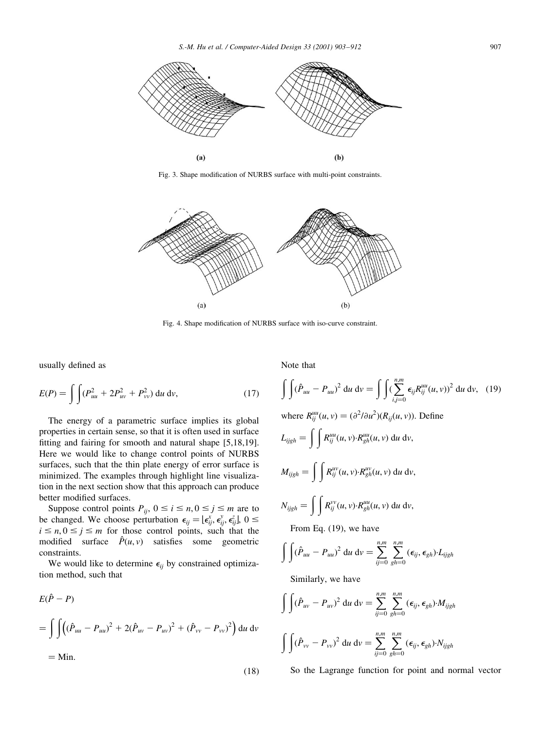

Fig. 3. Shape modification of NURBS surface with multi-point constraints.



Fig. 4. Shape modification of NURBS surface with iso-curve constraint.

usually defined as

$$
E(P) = \int \int (P_{uu}^2 + 2P_{uv}^2 + P_{vv}^2) \, \mathrm{d}u \, \mathrm{d}v,\tag{17}
$$

The energy of a parametric surface implies its global properties in certain sense, so that it is often used in surface fitting and fairing for smooth and natural shape [5,18,19]. Here we would like to change control points of NURBS surfaces, such that the thin plate energy of error surface is minimized. The examples through highlight line visualization in the next section show that this approach can produce better modified surfaces.

Suppose control points  $P_{ij}$ ,  $0 \le i \le n, 0 \le j \le m$  are to be changed. We choose perturbation  $\epsilon_{ii} = [\epsilon_{ii}^x, \epsilon_{ii}^y, \epsilon_{ii}^z]$ ,  $0 \le$  $i \leq n, 0 \leq j \leq m$  for those control points, such that the modified surface  $\hat{P}(u, v)$  satisfies some geometric constraints.

We would like to determine  $\epsilon_{ij}$  by constrained optimization method, such that

$$
E(\hat{P} - P)
$$
  
=  $\int \int ((\hat{P}_{uu} - P_{uu})^2 + 2(\hat{P}_{uv} - P_{uv})^2 + (\hat{P}_{vv} - P_{vv})^2) du dv$   
= Min. (18)

Note that

$$
\int \int (\hat{P}_{uu} - P_{uu})^2 du dv = \int \int (\sum_{i,j=0}^{n,m} \epsilon_{ij} R_{ij}^{uu}(u, v))^2 du dv, (19)
$$
  
where  $R_{ij}^{uu}(u, v) = (\partial^2/\partial u^2)(R_{ij}(u, v))$ . Define  

$$
L_{ijgh} = \int \int R_{ij}^{uu}(u, v) \cdot R_{gh}^{uu}(u, v) du dv,
$$
  

$$
M_{ijgh} = \int \int R_{ij}^{uv}(u, v) \cdot R_{gh}^{uv}(u, v) du dv,
$$
  

$$
N_{ijgh} = \int \int R_{ij}^{vv}(u, v) \cdot R_{gh}^{uu}(u, v) du dv,
$$
  
From Eq. (19), we have

$$
\int \int (\hat{P}_{uu} - P_{uu})^2 \, \mathrm{d}u \, \mathrm{d}v = \sum_{ij=0}^{n,m} \sum_{gh=0}^{n,m} (\epsilon_{ij}, \epsilon_{gh}) \cdot L_{ijgh}
$$

Similarly, we have

$$
\int \int (\hat{P}_{uv} - P_{uv})^2 \, \mathrm{d}u \, \mathrm{d}v = \sum_{ij=0}^{n,m} \sum_{gh=0}^{n,m} (\epsilon_{ij}, \epsilon_{gh}) \cdot M_{ijgh}
$$
\n
$$
\int \int (\hat{P}_{vv} - P_{vv})^2 \, \mathrm{d}u \, \mathrm{d}v = \sum_{ij=0}^{n,m} \sum_{gh=0}^{n,m} (\epsilon_{ij}, \epsilon_{gh}) \cdot N_{ijgh}
$$

So the Lagrange function for point and normal vector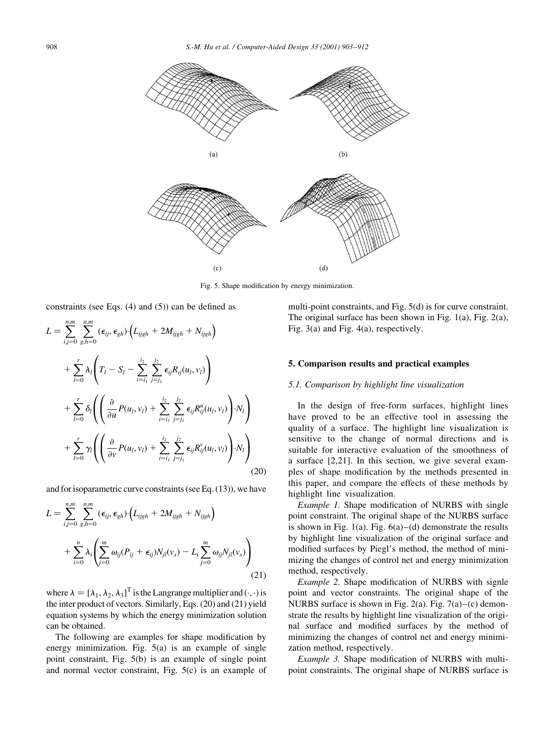

Fig. 5. Shape modification by energy minimization.

constraints (see Eqs.  $(4)$  and  $(5)$ ) can be defined as

$$
L = \sum_{i,j=0}^{n,m} \sum_{g,h=0}^{n,m} (\epsilon_{ij}, \epsilon_{gh}) \cdot (L_{ijgh} + 2M_{ijgh} + N_{ijgh})
$$
  
+ 
$$
\sum_{l=0}^{r} \lambda_l \left( T_l - S_l - \sum_{i=i_1}^{i_2} \sum_{j=j_1}^{j_2} \epsilon_{ij} R_{ij}(u_l, v_l) \right)
$$
  
+ 
$$
\sum_{l=0}^{r} \delta_l \left( \left( \frac{\partial}{\partial u} P(u_l, v_l) + \sum_{i=i_1}^{i_2} \sum_{j=j_1}^{j_2} \epsilon_{ij} R_{ij}^{u}(u_l, v_l) \right) \cdot N_l \right)
$$
  
+ 
$$
\sum_{l=0}^{r} \gamma_l \left( \left( \frac{\partial}{\partial v} P(u_l, v_l) + \sum_{i=i_1}^{i_2} \sum_{j=j_1}^{j_2} \epsilon_{ij} R_{ij}^{v}(u_l, v_l) \right) \cdot N_l \right)
$$
(20)

and for isoparametric curve constraints (see Eq.  $(13)$ ), we have

$$
L = \sum_{i,j=0}^{n,m} \sum_{g,h=0}^{n,m} (\epsilon_{ij}, \epsilon_{gh}) \cdot (L_{i,jgh} + 2M_{i,jgh} + N_{i,jgh})
$$
  
+ 
$$
\sum_{i=0}^{n} \lambda_i \left( \sum_{j=0}^{m} \omega_{ij} (P_{ij} + \epsilon_{ij}) N_{jl} (v_s) - L_i \sum_{j=0}^{m} \omega_{ij} N_{jl} (v_s) \right)
$$
(21)

where  $\lambda = [\lambda_1, \lambda_2, \lambda_3]^T$  is the Langrange multiplier and  $(\cdot, \cdot)$  is the inter product of vectors. Similarly, Eqs. (20) and (21) yield equation systems by which the energy minimization solution can be obtained.

The following are examples for shape modification by energy minimization. Fig.  $5(a)$  is an example of single point constraint, Fig. 5(b) is an example of single point and normal vector constraint, Fig.  $5(c)$  is an example of multi-point constraints, and Fig. 5(d) is for curve constraint. The original surface has been shown in Fig.  $1(a)$ , Fig.  $2(a)$ , Fig.  $3(a)$  and Fig.  $4(a)$ , respectively.

### 5. Comparison results and practical examples

### 5.1. Comparison by highlight line visualization

In the design of free-form surfaces, highlight lines have proved to be an effective tool in assessing the quality of a surface. The highlight line visualization is sensitive to the change of normal directions and is suitable for interactive evaluation of the smoothness of a surface  $[2,21]$ . In this section, we give several examples of shape modification by the methods presented in this paper, and compare the effects of these methods by highlight line visualization.

*Example 1.* Shape modification of NURBS with single point constraint. The original shape of the NURBS surface is shown in Fig. 1(a). Fig.  $6(a)$ –(d) demonstrate the results by highlight line visualization of the original surface and modified surfaces by Piegl's method, the method of minimizing the changes of control net and energy minimization method, respectively.

*Example 2.* Shape modification of NURBS with signle point and vector constraints. The original shape of the NURBS surface is shown in Fig. 2(a). Fig.  $7(a)$ –(c) demonstrate the results by highlight line visualization of the original surface and modified surfaces by the method of minimizing the changes of control net and energy minimization method, respectively.

Example 3. Shape modification of NURBS with multipoint constraints. The original shape of NURBS surface is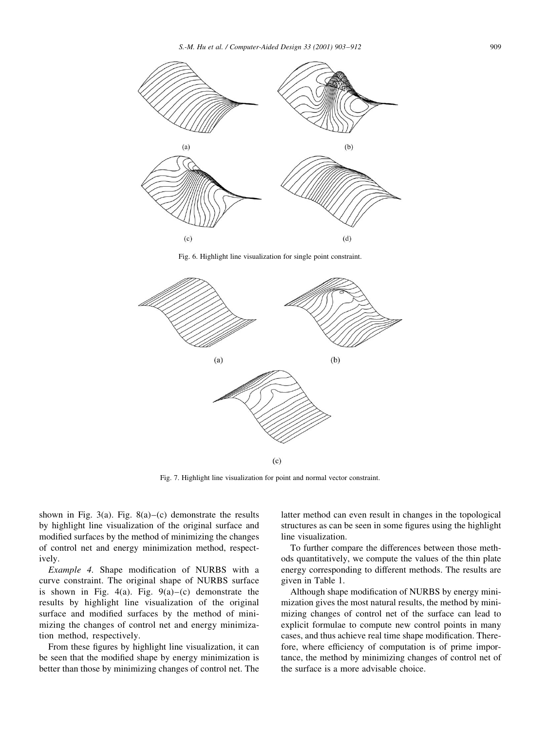

Fig. 6. Highlight line visualization for single point constraint.



Fig. 7. Highlight line visualization for point and normal vector constraint.

shown in Fig. 3(a). Fig. 8(a)–(c) demonstrate the results by highlight line visualization of the original surface and modified surfaces by the method of minimizing the changes of control net and energy minimization method, respectively.

*Example 4.* Shape modification of NURBS with a curve constraint. The original shape of NURBS surface is shown in Fig. 4(a). Fig. 9(a)–(c) demonstrate the results by highlight line visualization of the original surface and modified surfaces by the method of minimizing the changes of control net and energy minimization method, respectively.

From these figures by highlight line visualization, it can be seen that the modified shape by energy minimization is better than those by minimizing changes of control net. The latter method can even result in changes in the topological structures as can be seen in some figures using the highlight line visualization.

To further compare the differences between those methods quantitatively, we compute the values of the thin plate energy corresponding to different methods. The results are given in Table 1.

Although shape modification of NURBS by energy minimization gives the most natural results, the method by minimizing changes of control net of the surface can lead to explicit formulae to compute new control points in many cases, and thus achieve real time shape modification. Therefore, where efficiency of computation is of prime importance, the method by minimizing changes of control net of the surface is a more advisable choice.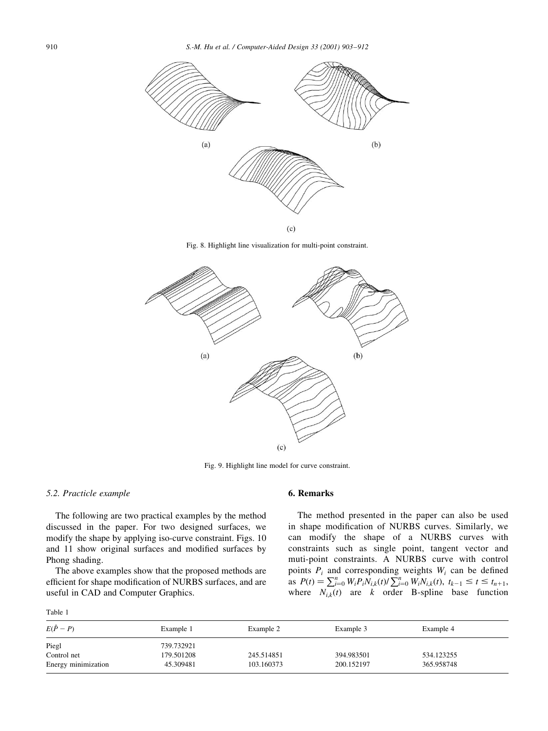

Fig. 8. Highlight line visualization for multi-point constraint.



Fig. 9. Highlight line model for curve constraint.

### 5.2. Practicle example

The following are two practical examples by the method discussed in the paper. For two designed surfaces, we modify the shape by applying iso-curve constraint. Figs. 10 and 11 show original surfaces and modified surfaces by Phong shading.

The above examples show that the proposed methods are efficient for shape modification of NURBS surfaces, and are useful in CAD and Computer Graphics.

Table 1

# 6. Remarks

The method presented in the paper can also be used in shape modification of NURBS curves. Similarly, we can modify the shape of a NURBS curves with constraints such as single point, tangent vector and muti-point constraints. A NURBS curve with control points  $P_i$  and corresponding weights  $W_i$  can be defined as  $P(t) = \sum_{i=0}^{n} W_i P_i N_{i,k}(t) / \sum_{i=0}^{n} W_i N_{i,k}(t)$ ,  $t_{k-1} \le t \le t_{n+1}$ ,<br>where  $N_{i,k}(t)$  are k order B-spline base function

| $E(\hat{P} - P)$    | Example 1  | Example 2  | Example 3  | Example 4  |
|---------------------|------------|------------|------------|------------|
| Piegl               | 739.732921 |            |            |            |
| Control net         | 179.501208 | 245.514851 | 394.983501 | 534.123255 |
| Energy minimization | 45.309481  | 103.160373 | 200.152197 | 365.958748 |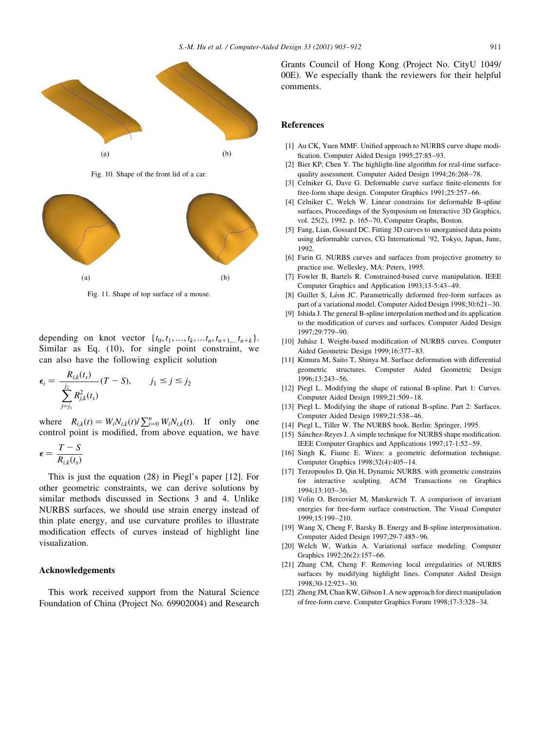

Fig. 10. Shape of the front lid of a car.



Fig. 11. Shape of top surface of a mouse.

depending on knot vector  $\{t_0, t_1, ..., t_k, ..., t_{n+1}, t_{n+k}\}.$ Similar as Eq. (10), for single point constraint, we can also have the following explicit solution

$$
\epsilon_i = \frac{R_{i,k}(t_s)}{\sum_{j=j_1}^{j_2} R_{j,k}^2(t_s)} (T - S), \qquad j_1 \le j \le j_2
$$

where  $R_{i,k}(t) = W_i N_{i,k}(t) / \sum_{i=0}^n W_i N_{i,k}(t)$ . If only one control point is modified, from above equation, we have

$$
\epsilon = \frac{T - S}{R_{i,k}(t_s)}
$$

This is just the equation  $(28)$  in Piegl's paper [12]. For other geometric constraints, we can derive solutions by similar methods discussed in Sections 3 and 4. Unlike NURBS surfaces, we should use strain energy instead of thin plate energy, and use curvature profiles to illustrate modification effects of curves instead of highlight line visualization.

## Acknowledgements

This work received support from the Natural Science Foundation of China (Project No. 69902004) and Research Grants Council of Hong Kong (Project No. City U1049/ 00E). We especially thank the reviewers for their helpful comments.

### **References**

- [1] Au CK, Yuen MMF. Unified approach to NURBS curve shape modification. Computer Aided Design 1995;27:85-93.
- [2] Bier KP, Chen Y. The highlight-line algorithm for real-time surfacequality assessment. Computer Aided Design 1994;26:268-78.
- [3] Celniker G, Dave G. Deformable curve surface finite-elements for free-form shape design. Computer Graphics 1991;25:257-66.
- [4] Celniker C, Welch W. Linear constrains for deformable B-spline surfaces, Proceedings of the Symposium on Interactive 3D Graphics, vol. 25(2), 1992. p. 165-70, Computer Graphs, Boston.
- [5] Fang, Lian, Gossard DC. Fitting 3D curves to unorganised data points using deformable curves, CG International '92, Tokyo, Japan, June, 1992.
- [6] Farin G. NURBS curves and surfaces from projective geometry to practice use. Wellesley, MA: Peters, 1995.
- [7] Fowler B, Bartels R. Constrained-based curve manipulation. IEEE Computer Graphics and Application 1993;13-5:43-49.
- [8] Guillet S, Léon JC. Parametrically deformed free-form surfaces as part of a variational model. Computer Aided Design 1998;30:621-30.
- [9] Ishida J. The general B-spline interpolation method and its application to the modification of curves and surfaces. Computer Aided Design 1997:29:779-90.
- [10] Juhász I. Weight-based modification of NURBS curves. Computer Aided Geometric Design 1999;16:377-83.
- [11] Kimura M, Saito T, Shinya M. Surface deformation with differential geometric structures. Computer Aided Geometric Design 1996;13:243-56.
- [12] Piegl L. Modifying the shape of rational B-spline. Part 1: Curves. Computer Aided Design 1989;21:509-18.
- [13] Piegl L. Modifying the shape of rational B-spline. Part 2: Surfaces. Computer Aided Design 1989;21:538-46.
- [14] Piegl L, Tiller W. The NURBS book. Berlin: Springer, 1995.
- [15] Sánchez-Reyes J. A simple technique for NURBS shape modification. IEEE Computer Graphics and Applications 1997:17-1:52-59.
- [16] Singh K, Fiume E. Wires: a geometric deformation technique. Computer Graphics 1998;32(4):405-14.
- [17] Terzopoulos D, Qin H, Dynamic NURBS. with geometric constrains for interactive sculpting. ACM Transactions on Graphics  $1994.13.103 - 36$
- [18] Volin O, Bercovier M, Matskewich T. A comparison of invariant energies for free-form surface construction. The Visual Computer 1999;15:199-210.
- [19] Wang X, Cheng F, Barsky B. Energy and B-spline interproximation. Computer Aided Design 1997;29-7:485-96.
- [20] Welch W, Watkin A. Variational surface modeling. Computer Graphics 1992;26(2):157-66.
- [21] Zhang CM, Cheng F. Removing local irregularities of NURBS surfaces by modifying highlight lines. Computer Aided Design 1998:30-12:923-30.
- [22] Zheng JM, Chan KW, Gibson I. A new approach for direct manipulation of free-form curve. Computer Graphics Forum 1998;17-3:328-34.